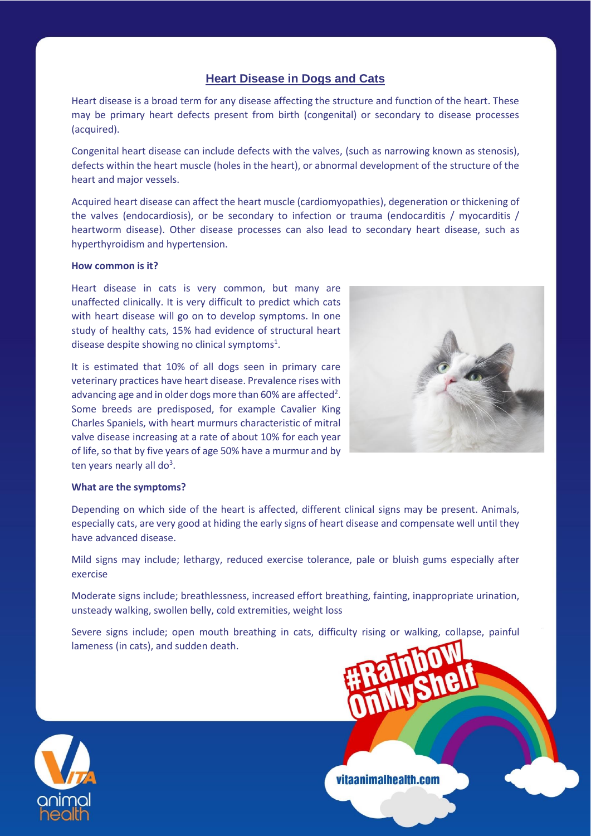# **Heart Disease in Dogs and Cats**

Heart disease is a broad term for any disease affecting the structure and function of the heart. These may be primary heart defects present from birth (congenital) or secondary to disease processes (acquired).

Congenital heart disease can include defects with the valves, (such as narrowing known as stenosis), defects within the heart muscle (holes in the heart), or abnormal development of the structure of the heart and major vessels.

Acquired heart disease can affect the heart muscle (cardiomyopathies), degeneration or thickening of the valves (endocardiosis), or be secondary to infection or trauma (endocarditis / myocarditis / heartworm disease). Other disease processes can also lead to secondary heart disease, such as hyperthyroidism and hypertension.

## **How common is it?**

Heart disease in cats is very common, but many are unaffected clinically. It is very difficult to predict which cats with heart disease will go on to develop symptoms. In one study of healthy cats, 15% had evidence of structural heart disease despite showing no clinical symptoms<sup>1</sup>.

It is estimated that 10% of all dogs seen in primary care veterinary practices have heart disease. Prevalence rises with advancing age and in older dogs more than 60% are affected<sup>2</sup>. Some breeds are predisposed, for example Cavalier King Charles Spaniels, with heart murmurs characteristic of mitral valve disease increasing at a rate of about 10% for each year of life, so that by five years of age 50% have a murmur and by ten years nearly all do<sup>3</sup>.



#### **What are the symptoms?**

Depending on which side of the heart is affected, different clinical signs may be present. Animals, especially cats, are very good at hiding the early signs of heart disease and compensate well until they have advanced disease.

Mild signs may include; lethargy, reduced exercise tolerance, pale or bluish gums especially after exercise

Moderate signs include; breathlessness, increased effort breathing, fainting, inappropriate urination, unsteady walking, swollen belly, cold extremities, weight loss

Severe signs include; open mouth breathing in cats, difficulty rising or walking, collapse, painful lameness (in cats), and sudden death.



vitaanimalhealth.com